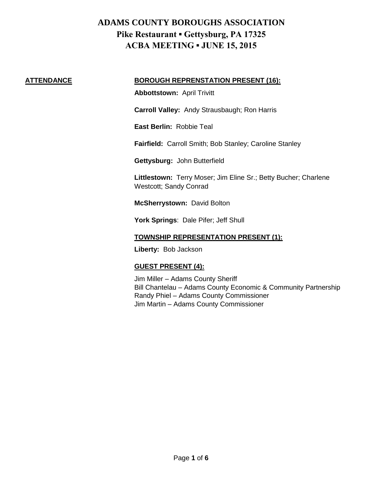#### **ATTENDANCE BOROUGH REPRENSTATION PRESENT (16):**

**Abbottstown:** April Trivitt

**Carroll Valley:** Andy Strausbaugh; Ron Harris

**East Berlin:** Robbie Teal

**Fairfield:** Carroll Smith; Bob Stanley; Caroline Stanley

**Gettysburg:** John Butterfield

**Littlestown:** Terry Moser; Jim Eline Sr.; Betty Bucher; Charlene Westcott; Sandy Conrad

**McSherrystown:** David Bolton

**York Springs**: Dale Pifer; Jeff Shull

#### **TOWNSHIP REPRESENTATION PRESENT (1):**

**Liberty:** Bob Jackson

### **GUEST PRESENT (4):**

Jim Miller – Adams County Sheriff Bill Chantelau – Adams County Economic & Community Partnership Randy Phiel – Adams County Commissioner Jim Martin – Adams County Commissioner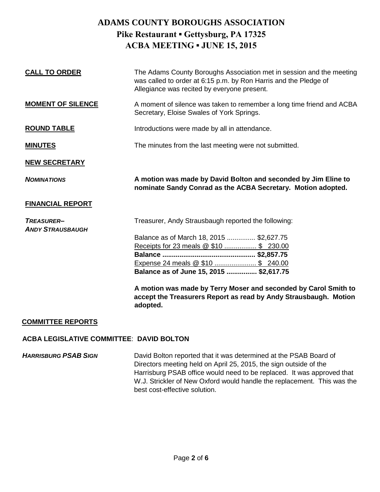| <b>CALL TO ORDER</b>                         | The Adams County Boroughs Association met in session and the meeting<br>was called to order at 6:15 p.m. by Ron Harris and the Pledge of<br>Allegiance was recited by everyone present. |
|----------------------------------------------|-----------------------------------------------------------------------------------------------------------------------------------------------------------------------------------------|
| <b>MOMENT OF SILENCE</b>                     | A moment of silence was taken to remember a long time friend and ACBA<br>Secretary, Eloise Swales of York Springs.                                                                      |
| <b>ROUND TABLE</b>                           | Introductions were made by all in attendance.                                                                                                                                           |
| <b>MINUTES</b>                               | The minutes from the last meeting were not submitted.                                                                                                                                   |
| <b>NEW SECRETARY</b>                         |                                                                                                                                                                                         |
| <b>NOMINATIONS</b>                           | A motion was made by David Bolton and seconded by Jim Eline to<br>nominate Sandy Conrad as the ACBA Secretary. Motion adopted.                                                          |
| <b>FINANCIAL REPORT</b>                      |                                                                                                                                                                                         |
| <b>TREASURER-</b><br><b>ANDY STRAUSBAUGH</b> | Treasurer, Andy Strausbaugh reported the following:                                                                                                                                     |
|                                              | Balance as of March 18, 2015  \$2,627.75                                                                                                                                                |
|                                              | Receipts for 23 meals @ \$10  \$ 230.00                                                                                                                                                 |
|                                              |                                                                                                                                                                                         |
|                                              | Expense 24 meals @ \$10  \$ 240.00                                                                                                                                                      |
|                                              | Balance as of June 15, 2015  \$2,617.75                                                                                                                                                 |
|                                              | A motion was made by Terry Moser and seconded by Carol Smith to<br>accept the Treasurers Report as read by Andy Strausbaugh. Motion<br>adopted.                                         |

#### **COMMITTEE REPORTS**

#### **ACBA LEGISLATIVE COMMITTEE**: **DAVID BOLTON**

**HARRISBURG PSAB SIGN** David Bolton reported that it was determined at the PSAB Board of Directors meeting held on April 25, 2015, the sign outside of the Harrisburg PSAB office would need to be replaced. It was approved that W.J. Strickler of New Oxford would handle the replacement. This was the best cost-effective solution.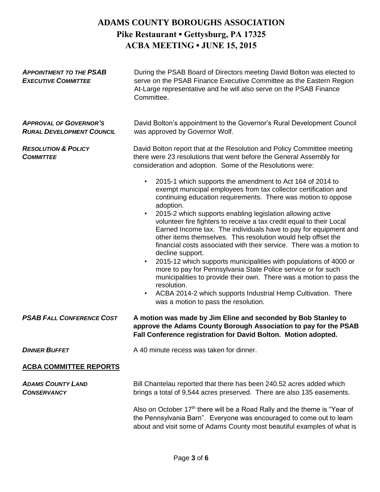| <b>APPOINTMENT TO THE PSAB</b><br><b>EXECUTIVE COMMITTEE</b>      | During the PSAB Board of Directors meeting David Bolton was elected to<br>serve on the PSAB Finance Executive Committee as the Eastern Region<br>At-Large representative and he will also serve on the PSAB Finance<br>Committee.                                                                                                                                                                                                                                                                                                                                                                                                                                                                                                                                                                                                                                                                                                                                          |
|-------------------------------------------------------------------|----------------------------------------------------------------------------------------------------------------------------------------------------------------------------------------------------------------------------------------------------------------------------------------------------------------------------------------------------------------------------------------------------------------------------------------------------------------------------------------------------------------------------------------------------------------------------------------------------------------------------------------------------------------------------------------------------------------------------------------------------------------------------------------------------------------------------------------------------------------------------------------------------------------------------------------------------------------------------|
| <b>APPROVAL OF GOVERNOR'S</b><br><b>RURAL DEVELOPMENT COUNCIL</b> | David Bolton's appointment to the Governor's Rural Development Council<br>was approved by Governor Wolf.                                                                                                                                                                                                                                                                                                                                                                                                                                                                                                                                                                                                                                                                                                                                                                                                                                                                   |
| <b>RESOLUTION &amp; POLICY</b><br><b>COMMITTEE</b>                | David Bolton report that at the Resolution and Policy Committee meeting<br>there were 23 resolutions that went before the General Assembly for<br>consideration and adoption. Some of the Resolutions were:                                                                                                                                                                                                                                                                                                                                                                                                                                                                                                                                                                                                                                                                                                                                                                |
|                                                                   | 2015-1 which supports the amendment to Act 164 of 2014 to<br>$\bullet$<br>exempt municipal employees from tax collector certification and<br>continuing education requirements. There was motion to oppose<br>adoption.<br>2015-2 which supports enabling legislation allowing active<br>$\bullet$<br>volunteer fire fighters to receive a tax credit equal to their Local<br>Earned Income tax. The individuals have to pay for equipment and<br>other items themselves. This resolution would help offset the<br>financial costs associated with their service. There was a motion to<br>decline support.<br>2015-12 which supports municipalities with populations of 4000 or<br>$\bullet$<br>more to pay for Pennsylvania State Police service or for such<br>municipalities to provide their own. There was a motion to pass the<br>resolution.<br>ACBA 2014-2 which supports Industrial Hemp Cultivation. There<br>$\bullet$<br>was a motion to pass the resolution. |
| <b>PSAB FALL CONFERENCE COST</b>                                  | A motion was made by Jim Eline and seconded by Bob Stanley to<br>approve the Adams County Borough Association to pay for the PSAB<br>Fall Conference registration for David Bolton. Motion adopted.                                                                                                                                                                                                                                                                                                                                                                                                                                                                                                                                                                                                                                                                                                                                                                        |
| <b>DINNER BUFFET</b>                                              | A 40 minute recess was taken for dinner.                                                                                                                                                                                                                                                                                                                                                                                                                                                                                                                                                                                                                                                                                                                                                                                                                                                                                                                                   |
| <b>ACBA COMMITTEE REPORTS</b>                                     |                                                                                                                                                                                                                                                                                                                                                                                                                                                                                                                                                                                                                                                                                                                                                                                                                                                                                                                                                                            |
| <b>ADAMS COUNTY LAND</b><br><b>CONSERVANCY</b>                    | Bill Chantelau reported that there has been 240.52 acres added which<br>brings a total of 9,544 acres preserved. There are also 135 easements.                                                                                                                                                                                                                                                                                                                                                                                                                                                                                                                                                                                                                                                                                                                                                                                                                             |
|                                                                   | Also on October 17th there will be a Road Rally and the theme is "Year of<br>the Pennsylvania Barn". Everyone was encouraged to come out to learn<br>about and visit some of Adams County most beautiful examples of what is                                                                                                                                                                                                                                                                                                                                                                                                                                                                                                                                                                                                                                                                                                                                               |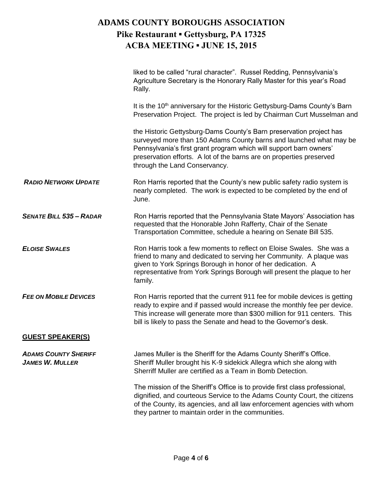|                                                       | liked to be called "rural character". Russel Redding, Pennsylvania's<br>Agriculture Secretary is the Honorary Rally Master for this year's Road<br>Rally.                                                                                                                                                                |
|-------------------------------------------------------|--------------------------------------------------------------------------------------------------------------------------------------------------------------------------------------------------------------------------------------------------------------------------------------------------------------------------|
|                                                       | It is the 10 <sup>th</sup> anniversary for the Historic Gettysburg-Dams County's Barn<br>Preservation Project. The project is led by Chairman Curt Musselman and                                                                                                                                                         |
|                                                       | the Historic Gettysburg-Dams County's Barn preservation project has<br>surveyed more than 150 Adams County barns and launched what may be<br>Pennsylvania's first grant program which will support barn owners'<br>preservation efforts. A lot of the barns are on properties preserved<br>through the Land Conservancy. |
| <b>RADIO NETWORK UPDATE</b>                           | Ron Harris reported that the County's new public safety radio system is<br>nearly completed. The work is expected to be completed by the end of<br>June.                                                                                                                                                                 |
| <b>SENATE BILL 535 - RADAR</b>                        | Ron Harris reported that the Pennsylvania State Mayors' Association has<br>requested that the Honorable John Rafferty, Chair of the Senate<br>Transportation Committee, schedule a hearing on Senate Bill 535.                                                                                                           |
| <b>ELOISE SWALES</b>                                  | Ron Harris took a few moments to reflect on Eloise Swales. She was a<br>friend to many and dedicated to serving her Community. A plaque was<br>given to York Springs Borough in honor of her dedication. A<br>representative from York Springs Borough will present the plaque to her<br>family.                         |
| <b>FEE ON MOBILE DEVICES</b>                          | Ron Harris reported that the current 911 fee for mobile devices is getting<br>ready to expire and if passed would increase the monthly fee per device.<br>This increase will generate more than \$300 million for 911 centers. This<br>bill is likely to pass the Senate and head to the Governor's desk.                |
| <b>GUEST SPEAKER(S)</b>                               |                                                                                                                                                                                                                                                                                                                          |
| <b>ADAMS COUNTY SHERIFF</b><br><b>JAMES W. MULLER</b> | James Muller is the Sheriff for the Adams County Sheriff's Office.<br>Sheriff Muller brought his K-9 sidekick Allegra which she along with<br>Sherriff Muller are certified as a Team in Bomb Detection.                                                                                                                 |
|                                                       | The mission of the Sheriff's Office is to provide first class professional,<br>dignified, and courteous Service to the Adams County Court, the citizens<br>of the County, its agencies, and all law enforcement agencies with whom<br>they partner to maintain order in the communities.                                 |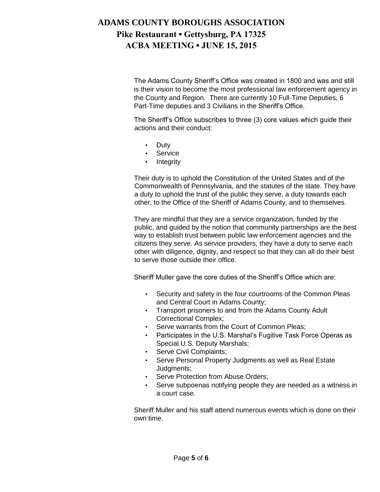The Adams County Sheriff's Office was created in 1800 and was and still is their vision to become the most professional law enforcement agency in the County and Region. There are currently 10 Full-Time Deputies, 6 Part-Time deputies and 3 Civilians in the Sheriff's Office.

The Sheriff's Office subscribes to three (3) core values which guide their actions and their conduct:

- Duty
- **Service**
- **Integrity**

Their duty is to uphold the Constitution of the United States and of the Commonwealth of Pennsylvania, and the statutes of the state. They have a duty to uphold the trust of the public they serve, a duty towards each other, to the Office of the Sheriff of Adams County, and to themselves.

They are mindful that they are a service organization, funded by the public, and guided by the notion that community partnerships are the best way to establish trust between public law enforcement agencies and the citizens they serve. As service providers, they have a duty to serve each other with diligence, dignity, and respect so that they can all do their best to serve those outside their office.

Sheriff Muller gave the core duties of the Sheriff's Office which are:

- Security and safety in the four courtrooms of the Common Pleas and Central Court in Adams County;
- Transport prisoners to and from the Adams County Adult Correctional Complex;
- Serve warrants from the Court of Common Pleas;
- Participates in the U.S. Marshal's Fugitive Task Force Operas as Special U.S. Deputy Marshals;
- Serve Civil Complaints;
- Serve Personal Property Judgments as well as Real Estate Judgments;
- Serve Protection from Abuse Orders;
- Serve subpoenas notifying people they are needed as a witness in a court case.

Sheriff Muller and his staff attend numerous events which is done on their own time.